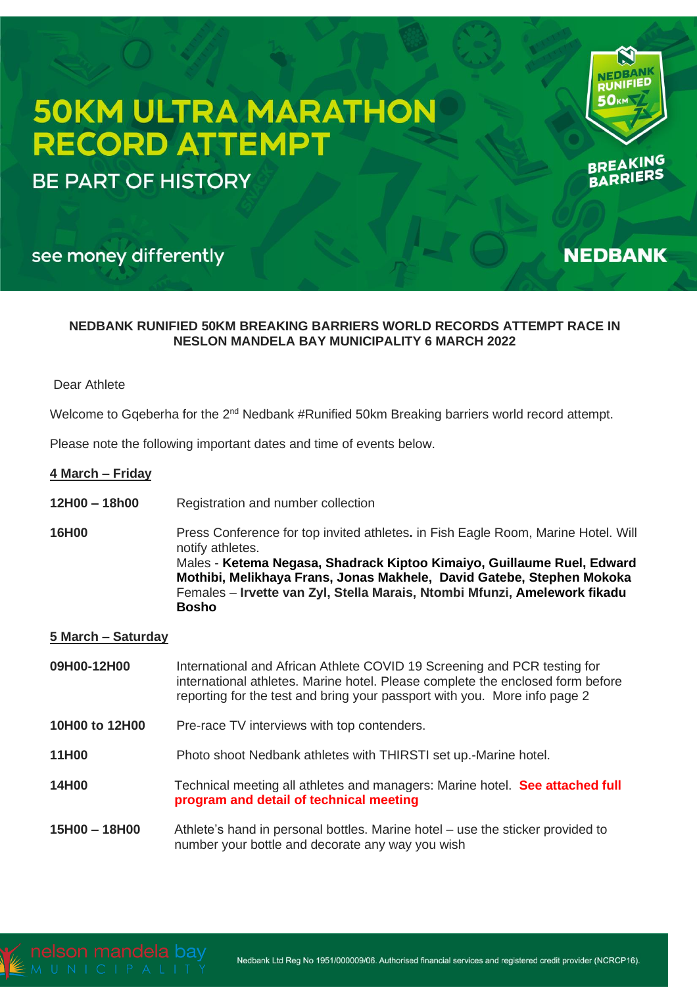# **50KM ULTRA MARATHON RECORD ATTEMPT**

**BE PART OF HISTORY** 



BREATERS

**NEDBANK** 

# see money differently

# **NEDBANK RUNIFIED 50KM BREAKING BARRIERS WORLD RECORDS ATTEMPT RACE IN NESLON MANDELA BAY MUNICIPALITY 6 MARCH 2022**

# Dear Athlete

Welcome to Gqeberha for the 2<sup>nd</sup> Nedbank #Runified 50km Breaking barriers world record attempt.

Please note the following important dates and time of events below.

# **4 March – Friday**

- **12H00 – 18h00** Registration and number collection
- **16H00** Press Conference for top invited athletes**.** in Fish Eagle Room, Marine Hotel. Will notify athletes. Males - **Ketema Negasa, Shadrack Kiptoo Kimaiyo, Guillaume Ruel, Edward Mothibi, Melikhaya Frans, Jonas Makhele, David Gatebe, Stephen Mokoka** Females – **Irvette van Zyl, Stella Marais, Ntombi Mfunzi, Amelework fikadu Bosho**

# **5 March – Saturday**

- **09H00-12H00** International and African Athlete COVID 19 Screening and PCR testing for international athletes. Marine hotel. Please complete the enclosed form before reporting for the test and bring your passport with you. More info page 2
- **10H00 to 12H00** Pre-race TV interviews with top contenders.
- **11H00** Photo shoot Nedbank athletes with THIRSTI set up.-Marine hotel.
- **14H00** Technical meeting all athletes and managers: Marine hotel. **See attached full program and detail of technical meeting**
- **15H00 – 18H00** Athlete's hand in personal bottles. Marine hotel use the sticker provided to number your bottle and decorate any way you wish

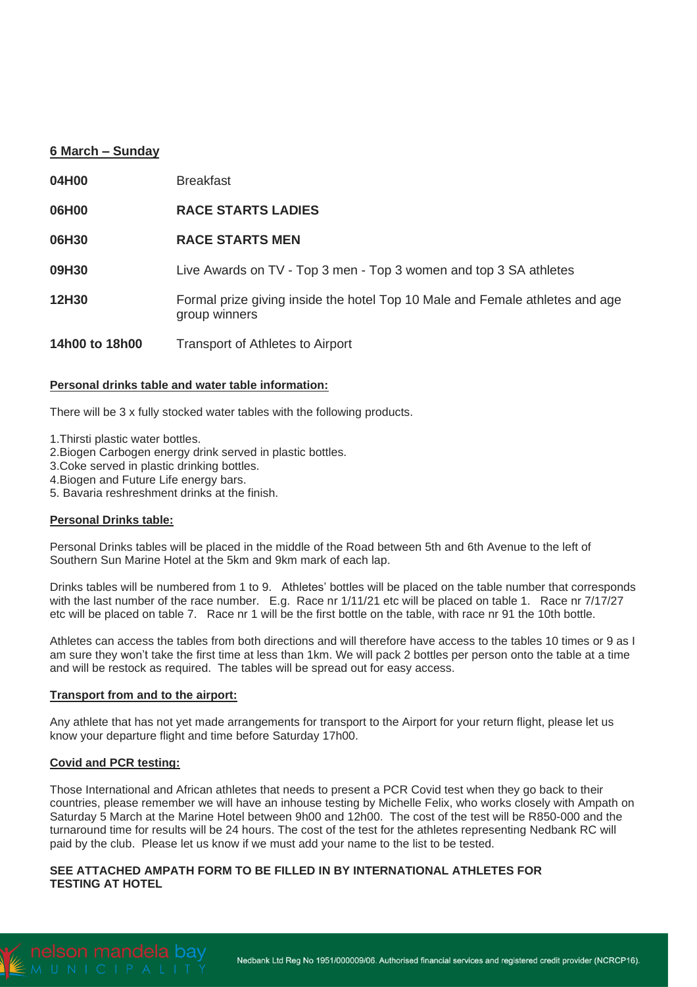# **6 March – Sunday**

| 04H00          | <b>Breakfast</b>                                                                              |
|----------------|-----------------------------------------------------------------------------------------------|
| 06H00          | <b>RACE STARTS LADIES</b>                                                                     |
| 06H30          | <b>RACE STARTS MEN</b>                                                                        |
| 09H30          | Live Awards on TV - Top 3 men - Top 3 women and top 3 SA athletes                             |
| 12H30          | Formal prize giving inside the hotel Top 10 Male and Female athletes and age<br>group winners |
| 14h00 to 18h00 | Transport of Athletes to Airport                                                              |

## **Personal drinks table and water table information:**

There will be 3 x fully stocked water tables with the following products.

1.Thirsti plastic water bottles.

2.Biogen Carbogen energy drink served in plastic bottles.

3.Coke served in plastic drinking bottles.

4.Biogen and Future Life energy bars.

5. Bavaria reshreshment drinks at the finish.

#### **Personal Drinks table:**

Personal Drinks tables will be placed in the middle of the Road between 5th and 6th Avenue to the left of Southern Sun Marine Hotel at the 5km and 9km mark of each lap.

Drinks tables will be numbered from 1 to 9. Athletes' bottles will be placed on the table number that corresponds with the last number of the race number. E.g. Race nr  $1/11/21$  etc will be placed on table 1. Race nr  $7/17/27$ etc will be placed on table 7. Race nr 1 will be the first bottle on the table, with race nr 91 the 10th bottle.

Athletes can access the tables from both directions and will therefore have access to the tables 10 times or 9 as I am sure they won't take the first time at less than 1km. We will pack 2 bottles per person onto the table at a time and will be restock as required. The tables will be spread out for easy access.

#### **Transport from and to the airport:**

Any athlete that has not yet made arrangements for transport to the Airport for your return flight, please let us know your departure flight and time before Saturday 17h00.

#### **Covid and PCR testing:**

Those International and African athletes that needs to present a PCR Covid test when they go back to their countries, please remember we will have an inhouse testing by Michelle Felix, who works closely with Ampath on Saturday 5 March at the Marine Hotel between 9h00 and 12h00. The cost of the test will be R850-000 and the turnaround time for results will be 24 hours. The cost of the test for the athletes representing Nedbank RC will paid by the club. Please let us know if we must add your name to the list to be tested.

# **SEE ATTACHED AMPATH FORM TO BE FILLED IN BY INTERNATIONAL ATHLETES FOR TESTING AT HOTEL**

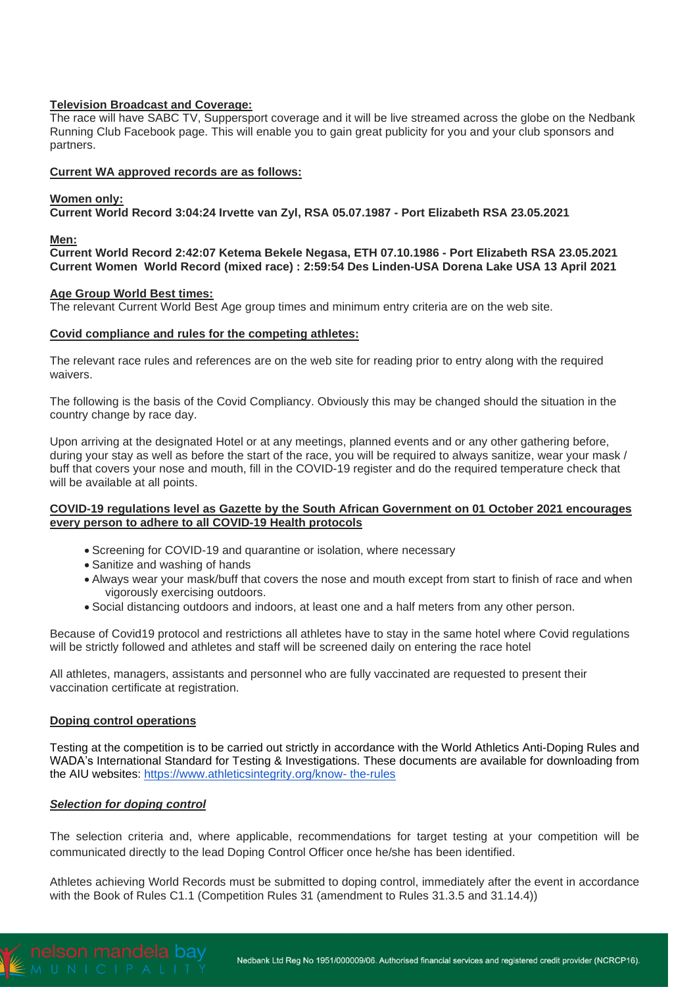# **Television Broadcast and Coverage:**

The race will have SABC TV, Suppersport coverage and it will be live streamed across the globe on the Nedbank Running Club Facebook page. This will enable you to gain great publicity for you and your club sponsors and partners.

#### **Current WA approved records are as follows:**

#### **Women only:**

**Current World Record 3:04:24 Irvette van Zyl, RSA 05.07.1987 - Port Elizabeth RSA 23.05.2021**

#### **Men:**

**Current World Record 2:42:07 Ketema Bekele Negasa, ETH 07.10.1986 - Port Elizabeth RSA 23.05.2021 Current Women World Record (mixed race) : 2:59:54 Des Linden-USA Dorena Lake USA 13 April 2021**

#### **Age Group World Best times:**

The relevant Current World Best Age group times and minimum entry criteria are on the web site.

#### **Covid compliance and rules for the competing athletes:**

The relevant race rules and references are on the web site for reading prior to entry along with the required waivers.

The following is the basis of the Covid Compliancy. Obviously this may be changed should the situation in the country change by race day.

Upon arriving at the designated Hotel or at any meetings, planned events and or any other gathering before, during your stay as well as before the start of the race, you will be required to always sanitize, wear your mask / buff that covers your nose and mouth, fill in the COVID-19 register and do the required temperature check that will be available at all points.

## **COVID-19 regulations level as Gazette by the South African Government on 01 October 2021 encourages every person to adhere to all COVID-19 Health protocols**

- Screening for COVID-19 and quarantine or isolation, where necessary
- Sanitize and washing of hands
- Always wear your mask/buff that covers the nose and mouth except from start to finish of race and when vigorously exercising outdoors.
- Social distancing outdoors and indoors, at least one and a half meters from any other person.

Because of Covid19 protocol and restrictions all athletes have to stay in the same hotel where Covid regulations will be strictly followed and athletes and staff will be screened daily on entering the race hotel

All athletes, managers, assistants and personnel who are fully vaccinated are requested to present their vaccination certificate at registration.

#### **Doping control operations**

Testing at the competition is to be carried out strictly in accordance with the World Athletics Anti-Doping Rules and WADA's International Standard for Testing & Investigations. These documents are available for downloading from the AIU websites: [https://www.athleticsintegrity.org/know-](https://www.athleticsintegrity.org/know-%20the-rules) the-rules

# *Selection for doping control*

The selection criteria and, where applicable, recommendations for target testing at your competition will be communicated directly to the lead Doping Control Officer once he/she has been identified.

Athletes achieving World Records must be submitted to doping control, immediately after the event in accordance with the Book of Rules C1.1 (Competition Rules 31 (amendment to Rules 31.3.5 and 31.14.4))

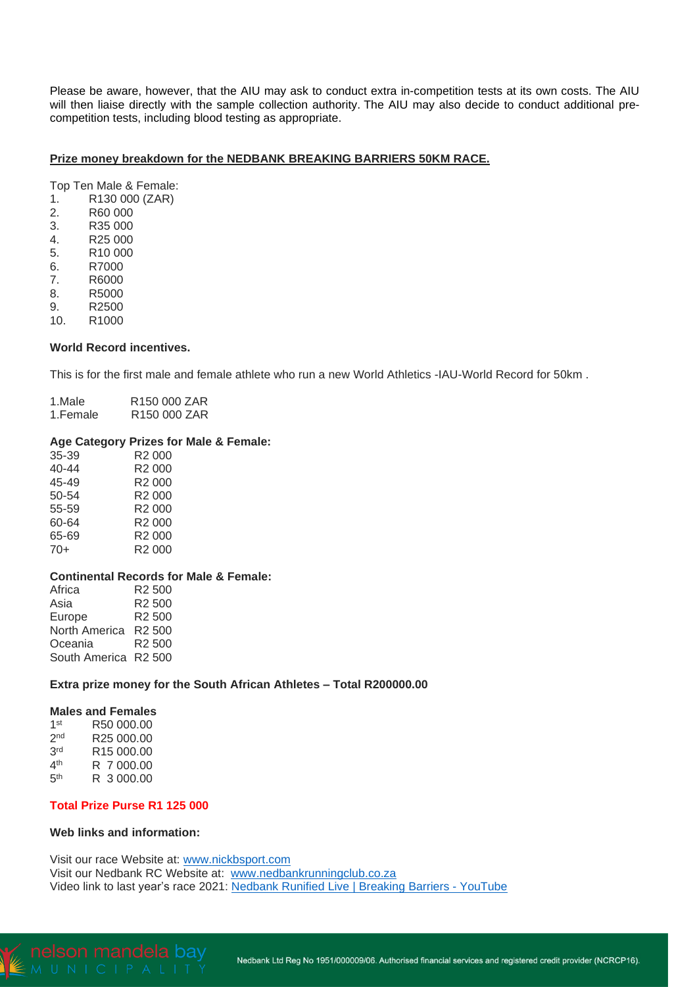Please be aware, however, that the AIU may ask to conduct extra in-competition tests at its own costs. The AIU will then liaise directly with the sample collection authority. The AIU may also decide to conduct additional precompetition tests, including blood testing as appropriate.

#### **Prize money breakdown for the NEDBANK BREAKING BARRIERS 50KM RACE.**

Top Ten Male & Female:

- 1. R130 000 (ZAR)
- 2. R60 000
- 3. R35 000
- 4. R25 000
- 5. R10 000
- 6. R7000<br>7. R6000 7. R6000
- 8. R5000
- 
- 9. R2500<br>10 R1000 R1000

#### **World Record incentives.**

This is for the first male and female athlete who run a new World Athletics -IAU-World Record for 50km .

| 1.Male   | R <sub>150</sub> 000 ZAR |
|----------|--------------------------|
| 1.Female | R <sub>150</sub> 000 ZAR |

# **Age Category Prizes for Male & Female:**

| 35-39 | R2 000             |
|-------|--------------------|
| 40-44 | R <sub>2</sub> 000 |
| 45-49 | R2 000             |
| 50-54 | R2 000             |
| 55-59 | R <sub>2</sub> 000 |
| 60-64 | R2 000             |
| 65-69 | R <sub>2</sub> 000 |
| $70+$ | R2 000             |
|       |                    |

#### **Continental Records for Male & Female:**

Africa R2 500 Asia R2 500<br>Europe R2 500 Europe <sub>R</sub> North America R2 500 Oceania R2 500 South America R2 500

#### **Extra prize money for the South African Athletes – Total R200000.00**

# **Males and Females**

| 1 <sup>st</sup> | R50 000.00             |
|-----------------|------------------------|
| 2 <sub>nd</sub> | R <sub>25</sub> 000.00 |
| 3rd             | R15 000.00             |
| 4 <sup>th</sup> | R 7 000.00             |
| 5 <sup>th</sup> | R 3000.00              |

## **Total Prize Purse R1 125 000**

#### **Web links and information:**

Visit our race Website at: [www.nickbsport.com](http://www.nickbsport.com/) Visit our Nedbank RC Website at: [www.nedbankrunningclub.co.za](http://www.nedbankrunningclub.co.za/) Video link to last year's race 2021: Nedbank Runified Live | Breaking Barriers - [YouTube](https://www.youtube.com/watch?v=KPaAIWJ8Esw)